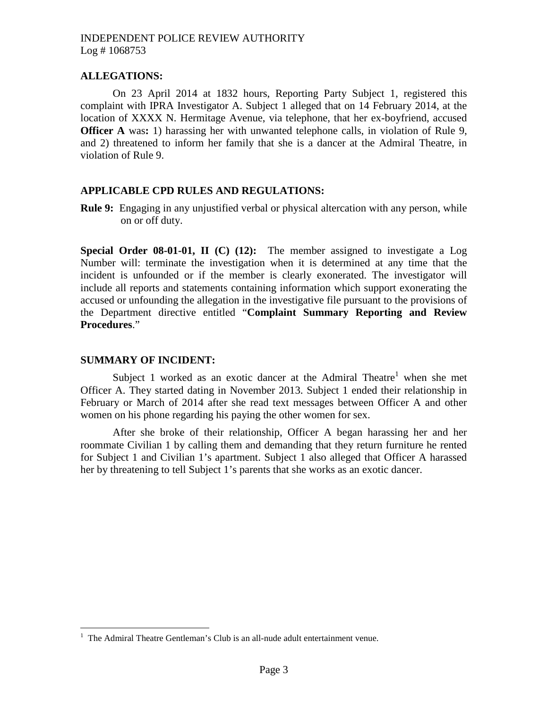### **ALLEGATIONS:**

On 23 April 2014 at 1832 hours, Reporting Party Subject 1, registered this complaint with IPRA Investigator A. Subject 1 alleged that on 14 February 2014, at the location of XXXX N. Hermitage Avenue, via telephone, that her ex-boyfriend, accused **Officer A** was**:** 1) harassing her with unwanted telephone calls, in violation of Rule 9, and 2) threatened to inform her family that she is a dancer at the Admiral Theatre, in violation of Rule 9.

#### **APPLICABLE CPD RULES AND REGULATIONS:**

**Rule 9:** Engaging in any unjustified verbal or physical altercation with any person, while on or off duty.

**Special Order 08-01-01, II (C) (12):** The member assigned to investigate a Log Number will: terminate the investigation when it is determined at any time that the incident is unfounded or if the member is clearly exonerated. The investigator will include all reports and statements containing information which support exonerating the accused or unfounding the allegation in the investigative file pursuant to the provisions of the Department directive entitled "**Complaint Summary Reporting and Review Procedures**."

#### **SUMMARY OF INCIDENT:**

Subject [1](#page-0-0) worked as an exotic dancer at the Admiral Theatre<sup>1</sup> when she met Officer A. They started dating in November 2013. Subject 1 ended their relationship in February or March of 2014 after she read text messages between Officer A and other women on his phone regarding his paying the other women for sex.

After she broke of their relationship, Officer A began harassing her and her roommate Civilian 1 by calling them and demanding that they return furniture he rented for Subject 1 and Civilian 1's apartment. Subject 1 also alleged that Officer A harassed her by threatening to tell Subject 1's parents that she works as an exotic dancer.

<span id="page-0-0"></span> $<sup>1</sup>$  The Admiral Theatre Gentleman's Club is an all-nude adult entertainment venue.</sup>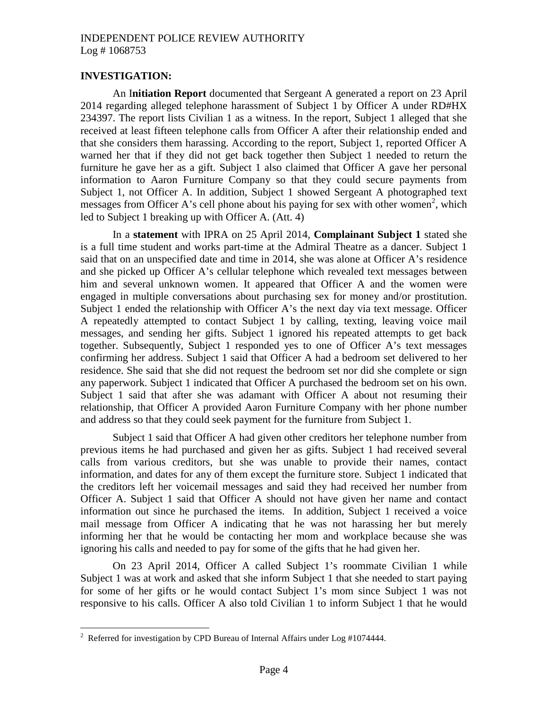### **INVESTIGATION:**

An I**nitiation Report** documented that Sergeant A generated a report on 23 April 2014 regarding alleged telephone harassment of Subject 1 by Officer A under RD#HX 234397. The report lists Civilian 1 as a witness. In the report, Subject 1 alleged that she received at least fifteen telephone calls from Officer A after their relationship ended and that she considers them harassing. According to the report, Subject 1, reported Officer A warned her that if they did not get back together then Subject 1 needed to return the furniture he gave her as a gift. Subject 1 also claimed that Officer A gave her personal information to Aaron Furniture Company so that they could secure payments from Subject 1, not Officer A. In addition, Subject 1 showed Sergeant A photographed text messages from Officer A's cell phone about his paying for sex with other women<sup>2</sup>[,](#page-1-0) which led to Subject 1 breaking up with Officer A. (Att. 4)

In a **statement** with IPRA on 25 April 2014, **Complainant Subject 1** stated she is a full time student and works part-time at the Admiral Theatre as a dancer. Subject 1 said that on an unspecified date and time in 2014, she was alone at Officer A's residence and she picked up Officer A's cellular telephone which revealed text messages between him and several unknown women. It appeared that Officer A and the women were engaged in multiple conversations about purchasing sex for money and/or prostitution. Subject 1 ended the relationship with Officer A's the next day via text message. Officer A repeatedly attempted to contact Subject 1 by calling, texting, leaving voice mail messages, and sending her gifts. Subject 1 ignored his repeated attempts to get back together. Subsequently, Subject 1 responded yes to one of Officer A's text messages confirming her address. Subject 1 said that Officer A had a bedroom set delivered to her residence. She said that she did not request the bedroom set nor did she complete or sign any paperwork. Subject 1 indicated that Officer A purchased the bedroom set on his own. Subject 1 said that after she was adamant with Officer A about not resuming their relationship, that Officer A provided Aaron Furniture Company with her phone number and address so that they could seek payment for the furniture from Subject 1.

Subject 1 said that Officer A had given other creditors her telephone number from previous items he had purchased and given her as gifts. Subject 1 had received several calls from various creditors, but she was unable to provide their names, contact information, and dates for any of them except the furniture store. Subject 1 indicated that the creditors left her voicemail messages and said they had received her number from Officer A. Subject 1 said that Officer A should not have given her name and contact information out since he purchased the items. In addition, Subject 1 received a voice mail message from Officer A indicating that he was not harassing her but merely informing her that he would be contacting her mom and workplace because she was ignoring his calls and needed to pay for some of the gifts that he had given her.

On 23 April 2014, Officer A called Subject 1's roommate Civilian 1 while Subject 1 was at work and asked that she inform Subject 1 that she needed to start paying for some of her gifts or he would contact Subject 1's mom since Subject 1 was not responsive to his calls. Officer A also told Civilian 1 to inform Subject 1 that he would

<span id="page-1-0"></span><sup>&</sup>lt;sup>2</sup> Referred for investigation by CPD Bureau of Internal Affairs under Log  $\#1074444$ .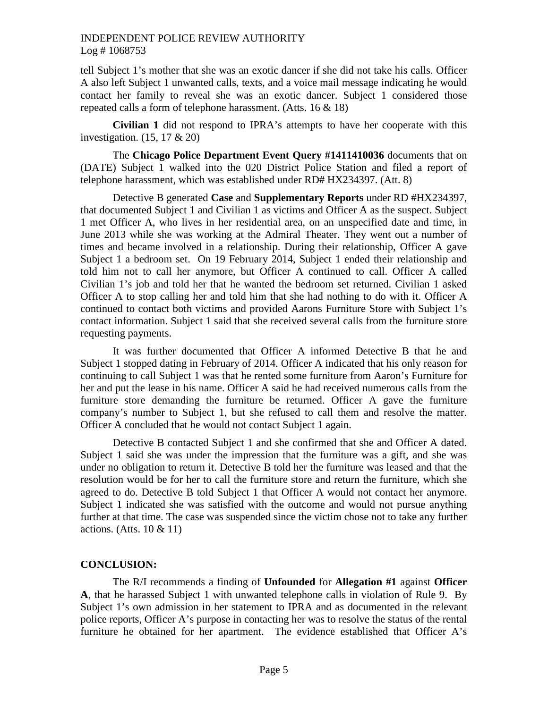tell Subject 1's mother that she was an exotic dancer if she did not take his calls. Officer A also left Subject 1 unwanted calls, texts, and a voice mail message indicating he would contact her family to reveal she was an exotic dancer. Subject 1 considered those repeated calls a form of telephone harassment. (Atts. 16 & 18)

**Civilian 1** did not respond to IPRA's attempts to have her cooperate with this investigation. (15, 17 & 20)

The **Chicago Police Department Event Query #1411410036** documents that on (DATE) Subject 1 walked into the 020 District Police Station and filed a report of telephone harassment, which was established under RD# HX234397. (Att. 8)

Detective B generated **Case** and **Supplementary Reports** under RD #HX234397, that documented Subject 1 and Civilian 1 as victims and Officer A as the suspect. Subject 1 met Officer A, who lives in her residential area, on an unspecified date and time, in June 2013 while she was working at the Admiral Theater. They went out a number of times and became involved in a relationship. During their relationship, Officer A gave Subject 1 a bedroom set. On 19 February 2014, Subject 1 ended their relationship and told him not to call her anymore, but Officer A continued to call. Officer A called Civilian 1's job and told her that he wanted the bedroom set returned. Civilian 1 asked Officer A to stop calling her and told him that she had nothing to do with it. Officer A continued to contact both victims and provided Aarons Furniture Store with Subject 1's contact information. Subject 1 said that she received several calls from the furniture store requesting payments.

It was further documented that Officer A informed Detective B that he and Subject 1 stopped dating in February of 2014. Officer A indicated that his only reason for continuing to call Subject 1 was that he rented some furniture from Aaron's Furniture for her and put the lease in his name. Officer A said he had received numerous calls from the furniture store demanding the furniture be returned. Officer A gave the furniture company's number to Subject 1, but she refused to call them and resolve the matter. Officer A concluded that he would not contact Subject 1 again.

Detective B contacted Subject 1 and she confirmed that she and Officer A dated. Subject 1 said she was under the impression that the furniture was a gift, and she was under no obligation to return it. Detective B told her the furniture was leased and that the resolution would be for her to call the furniture store and return the furniture, which she agreed to do. Detective B told Subject 1 that Officer A would not contact her anymore. Subject 1 indicated she was satisfied with the outcome and would not pursue anything further at that time. The case was suspended since the victim chose not to take any further actions. (Atts. 10 & 11)

# **CONCLUSION:**

The R/I recommends a finding of **Unfounded** for **Allegation #1** against **Officer A**, that he harassed Subject 1 with unwanted telephone calls in violation of Rule 9. By Subject 1's own admission in her statement to IPRA and as documented in the relevant police reports, Officer A's purpose in contacting her was to resolve the status of the rental furniture he obtained for her apartment. The evidence established that Officer A's